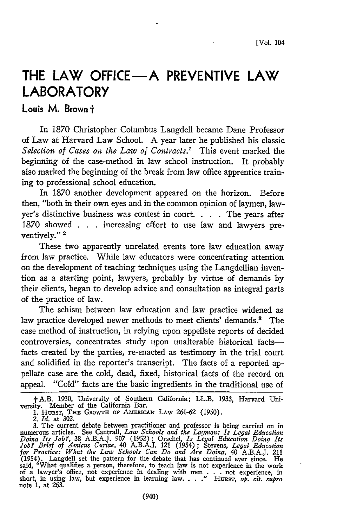# **THE LAW OFFICE-A PREVENTIVE LAW LABORATORY**

**Louis M. Brown t**

In 1870 Christopher Columbus Langdell became Dane Professor of Law at Harvard Law School. A year later he published his classic Selection of Cases on the Law of Contracts.<sup>1</sup> This event marked the beginning of the case-method in law school instruction. It probably also marked the beginning of the break from law office apprentice training to professional school education.

In 1870 another development appeared on the horizon. Before then, "both in their own eyes and in the common opinion of laymen, lawyer's distinctive business was contest in court. **. . .** The years after 1870 showed **. .** increasing effort to use law and lawyers preventively." **2**

These two apparently unrelated events tore law education away from law practice. While law educators were concentrating attention on the development of teaching techniques using the Langdellian invention as a starting point, lawyers, probably **by** virtue of demands **by** their clients, began to develop advice and consultation as integral parts of the practice of law.

The schism between law education and law practice widened as law practice developed newer methods to meet clients' demands.<sup>8</sup> The case method of instruction, in relying upon appellate reports of decided controversies, concentrates study upon unalterable historical factsfacts created by the parties, re-enacted as testimony in the trial court and solidified in the reporter's transcript. The facts of a reported appellate case are the cold, dead, fixed, historical facts of the record on appeal. "Cold" facts are the basic ingredients in the traditional use of

tA.B. 1930, University of Southern California; LL.B. 1933, Harvard Uni-versity. Member of the California Bar. 1. HURsT, **THE** GROWTH **OF AMERICAx** LAW 261-62 (1950). *2. Id.* at 302.

<sup>3.</sup> The current debate between practitioner and professor is being carried on in numerous articles. See Cantrall, *Law Schools and the Layman: Is Legal Education Doing Its Job.,* 38 A.B.A.J. 907 (1952) ; Orschel, *Is Legal Education Doing Its Job? Brief of Ainicus Curiae,* 40 A.B.A.J. 121 (1954); Stevens, *Legal Education for Practice: What the Law Schools Can Do and Are Doing,* 40 A.B.AJ. 211 (1954). Langdell set the pattern for the debate that has continued ever since. He said, "What qualifies a person, therefore, to teach law is not experience in the work of a lawyer's office, not experience in dealing with men . . . not experience, in short, in using law, but experience in learning law. . . . " HURST, *op. cit. supra* note 1, at 263.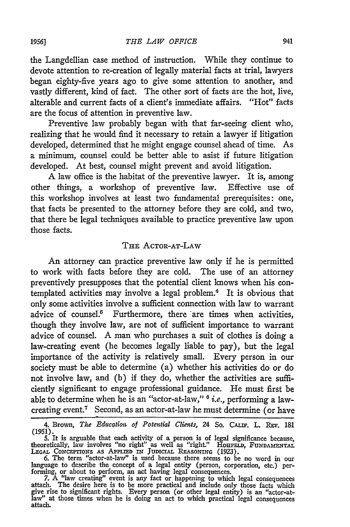the Langdellian case method of instruction. While they continue to devote attention to re-creation of legally material facts at trial, lawyers began eighty-five years ago to give some attention to another, and vastly different, kind of fact. The other sort of facts are the hot, live, alterable and current facts of a client's immediate affairs. "Hot" facts are the focus of attention in preventive law.

Preventive law probably began with that far-seeing client who, realizing that he would find it necessary to retain a lawyer if litigation developed, determined that he might engage counsel ahead of time. As a minimum, counsel could be better able to asist if future litigation developed. At best, counsel might prevent and avoid litigation.

A law office is the habitat of the preventive lawyer. It is, among other things, a workshop of preventive law. Effective use of this workshop involves at least two fundamental prerequisites: one, that facts be presented to the attorney before they are cold, and two, that there be legal techniques available to practice preventive law upon those facts.

#### THE ACTOR-AT-LAW

An attorney can practice preventive law only if he is permitted to work with facts before they are cold. The use of an attorney preventively presupposes that the potential client knows when his contemplated activities may involve a legal problem.4 It is obvious that only some activities involve a sufficient connection with law to warrant advice of counsel.<sup>5</sup> Furthermore, there are times when activities, though they involve law, are not of sufficient importance to warrant advice of counsel. A man who purchases a suit of clothes is doing a law-creating event (he becomes legally liable to pay), but the legal importance of the activity is relatively small. Every person in our society must be able to determine (a) whether his activities do or do not involve law, and (b) if they do, whether the activities are sufficiently significant to engage professional guidance. He must first be able to determine when he is an "actor-at-law," **6** i.e., performing a lawcreating event.7 Second, as an actor-at-law he must determine (or have

<sup>4.</sup> Brown, *The Education of Potential Clients,* 24 So. **CALiP.** L. **REv.** 181 (1951). 5. It is arguable that each activity of a person is of legal significance because,

theoretically, law involves *"no* right" as well as "right." **HouFELi, FuNDAmENTAL** LEGAL CONCEPTIONS AS APPLIED IN JUDICIAL REASONING (1923)

**<sup>6.</sup>** The term "actor-at-law" is used because there seems to be no word in our language to describe the concept of a legal entity (person, corporation, etc.) performing, or about to perform, an act having legal consequences.

<sup>7.</sup> A "law creating" event is any fact or happening to which legal consequences attach. The desire here is to be more practical and include only those facts which give rise to significant rights. Every person (or other lega law" at those times when he is doing an act to which practical legal consequences attach.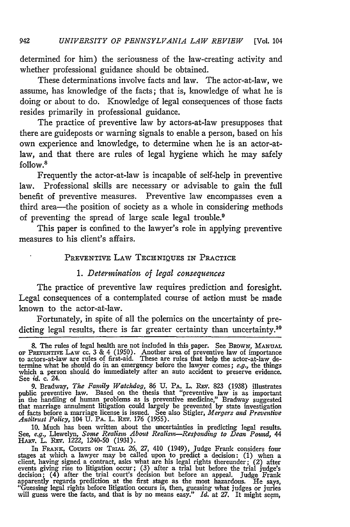determined for him) the seriousness of the law-creating activity and whether professional guidance should be obtained.

These determinations involve facts and law. The actor-at-law, we assume, has knowledge of the facts; that is, knowledge of what he is doing or about to do. Knowledge of legal consequences of those facts resides primarily in professional guidance.

The practice of preventive law by actors-at-law presupposes that there are guideposts or warning signals to enable a person, based on his own experience and knowledge, to determine when he is an actor-atlaw, and that there are rules of legal hygiene which he may safely follow.<sup>8</sup>

Frequently the actor-at-law is incapable of self-help in preventive law. Professional skills are necessary or advisable to gain the full benefit of preventive measures. Preventive law encompasses even a third area-the position of society as a whole in considering methods of preventing the spread of large scale legal trouble.9

This paper is confined to the lawyer's role in applying preventive measures to his client's affairs.

#### PREVENTIVE LAW **TECHNIQUES** IN PRACTICE

#### *1. Determination of legal consequences*

The practice of preventive law requires prediction and foresight. Legal consequences of a contemplated course of action must be made known to the actor-at-law.

Fortunately, in spite of all the polemics on the uncertainty of predicting legal results, there is far greater certainty than uncertainty.<sup>10</sup>

9. Bradway, *The Family Watchdog,* 86 U. PA. L. REV. 823 (1938) illustrates public preventive law. Based on the thesis that "preventive law is as important in the handling of human problems as is preventive medicine," Bradway suggested that marriage annulment litigation could largely be prevented by state investigation<br>of facts before a marriage license is issued. See also Stigler, *Mergers and Preventive*<br>Antitrust Policy, 104 U. PA. L. REV. 176 (1955).

10. Much has been written about the uncertainties in predicting legal results. See, *e.g., Llewelyn, Some Realism About Realism—Responding to Dean Pound, 44*<br>HARV. L. REV. 1222, 1240-50 (1931).

In **FRANK,** COURTS **ON** TRIAL **26, 27,** 410 (1949), Judge Frank considers four stages at which a lawyer may be called upon to predict a decision: **(1)** when a client, having signed a contract, asks what are his legal rights thereunder; (2) after events giving rise to litigation occur; (3) after a trial but before the trial judge's decision; (4) after the trial court's decision but before an appeal. Judge Frank apparently regards prediction at the first stage as the most hazardous. He says, "Guessing legal rights before litigation occurs is, then, guessing what judges or juries will guess were the facts, and that is by no means easy." *Id.* at 27. It might seem,

<sup>8.</sup> The rules of legal health are not included in this paper. See BROWN, MANUAI OF **PREVENTIVE** LAW cc. 3 **&** 4 (1950). Another area of preventive law of importance to actors-at-law are rules of first-aid. These are rules that help the actor-at-law determine what he should do in an emergency before the lawyer comes; e.g., the things which a person should do immediately after an auto accident to preserve evidence. See *id.* c. 24.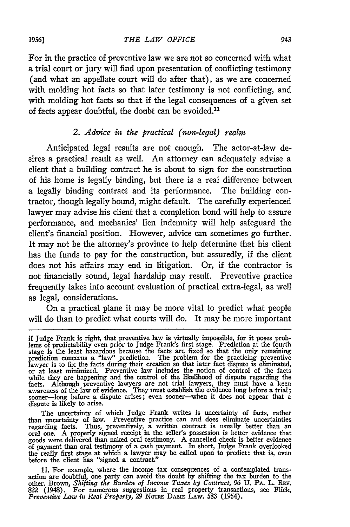For in the practice of preventive law we are not so concerned with what a trial court or jury will find upon presentation of conflicting testimony (and what an appellate court will do after that), as we are concerned with molding hot facts so that later testimony is not conflicting, and with molding hot facts so that if the legal consequences of a given set of facts appear doubtful, the doubt can be avoided."

#### *2. Advice in the practical (non-legal) realm*

Anticipated legal results are not enough. The actor-at-law desires a practical result as well. An attorney can adequately advise a client that a building contract he is about to sign for the construction of his home is legally binding, but there is a real difference between a legally binding contract and its performance. The building contractor, though legally bound, might default. The carefully experienced lawyer may advise his client that a completion bond will help to assure performance, and mechanics' lien indemnity will help safeguard the client's financial position. However, advice can sometimes go further. It may not be the attorney's province to help determine that his client has the funds to pay for the construction, but assuredly, if the client does not his affairs may end in litigation. Or, if the contractor is not financially sound, legal hardship may result. Preventive practice frequently takes into account evaluation of practical extra-legal, as well as legal, considerations.

On a practical plane it may be more vital to predict what people will do than to predict what courts will do. It may be more important

The uncertainty of which Judge Frank writes is uncertainty of facts, rather<br>than uncertainty of law. Preventive practice can and does eliminate uncertainties<br>regarding facts. Thus, preventively, a written contract is usual of payment than oral testimony of a cash payment. In short, Judge Frank overlooked the really first stage at which a lawyer may be called upon to predict: that is, even before the client has "signed a contract."

11. For example, where the income tax consequences of a contemplated transaction are doubtful, one party can avoid the doubt by shifting the tax burden to the other. Brown, *Shifting the Burden of Income Taxes by Contract, 96 U*. PA. L. REV.<br>822 (1948). For numerous suggestions in real property transactions, see Flick, *Preventive Law in Real Property, 29* NoTRE **DAME** LAw. 583 (1954).

if Judge Frank is right, that preventive law is virtually impossible, for it poses problems of predictability even prior to Judge Frank's first stage. Prediction at the fourth stage is the least hazardous because the facts are fixed so that the only remaining<br>prediction concerns a "law" prediction. The problem for the practicing preventive<br>lawyer is to fix the facts during their creation so that or at least minimized. Preventive law includes the notion of control of the facts **while** they are happening and the control of the likelihood of dispute regarding the facts. Although preventive lawyers are not trial lawyers, they must have a keen<br>awareness of the law of evidence. They must establish the evidence long before a trial;<br>sooner—long before a dispute arises; even sooner—when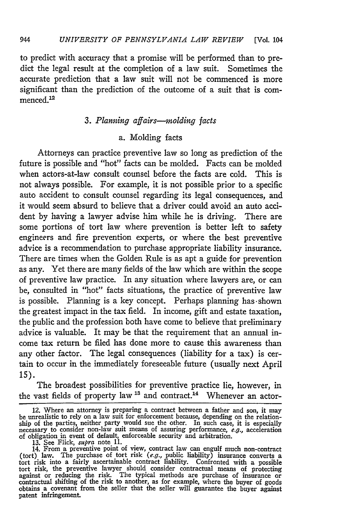to predict with accuracy that a promise will be performed than to predict the legal result at the completion of a law suit. Sometimes the accurate prediction that a law suit will not be commenced is more significant than the prediction of the outcome of a suit that is commenced.<sup>12</sup>

## *3. Planning affairs--molding facts*

## a. Molding facts

Attorneys can practice preventive law so long as prediction of the future is possible and "hot" facts can be molded. Facts can be molded when actors-at-law consult counsel before the facts are cold. This is not always possible. For example, it is not possible prior to a specific auto accident to consult counsel regarding its legal consequences, and it would seem absurd to believe that a driver could avoid an auto accident by having a lawyer advise him while he is driving. There are some portions of tort law where prevention is better left to safety engineers and fire prevention experts, or where the best preventive advice is a recommendation to purchase appropriate liability insurance. There are times when the Golden Rule is as apt a guide for prevention as any. Yet there are many fields of the law which are within the scope of preventive law practice. In any situation where lawyers are, or can be, consulted in "hot" facts situations, the practice of preventive law is possible. Planning is a key concept. Perhaps planning has-shown the greatest impact in the tax field. In income, gift and estate taxation, the public and the profession both have come to believe that preliminary advice is valuable. It may be that the requirement that an annual income tax return be filed has done more to cause this awareness than any other factor. The legal consequences (liability for a tax) is certain to occur in the immediately foreseeable future (usually next April 15).

The broadest possibilities for preventive practice lie, however, in the vast fields of property law <sup>13</sup> and contract.<sup>14</sup> Whenever an actor-

<sup>12.</sup> Where an attorney is preparing a contract between a father and son, it may be unrealistic to rely on a law suit for enforcement because, depending on the relation-<br>ship of the parties, neither party would sue the other. In such case, it is especially<br>necessary to consider non-law suit means of a

<sup>(</sup>tort) law. The purchase of tort risk  $(e.g.,$  public liability) insurance converts a tort risk into a fairly ascertainable contract liability. Confronted with a possible tort risk, the preventive lawyer should consider cont obtains a covenant from the seller that the seller will guarantee the buyer against patent infringement.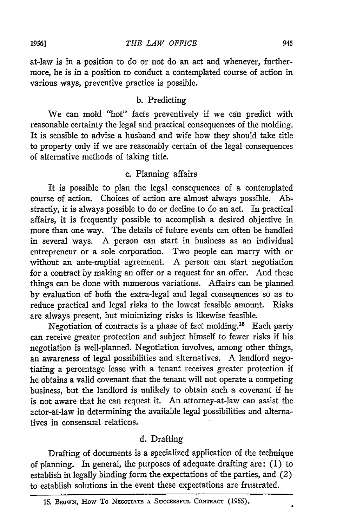at-law is in a position to do or not do an act and whenever, furthermore, he is in a position to conduct a contemplated course of action in various ways, preventive practice is possible.

## b. Predicting

We can mold "hot" facts preventively if we can predict with reasonable certainty the legal and practical consequences of the molding. It is sensible to advise a husband and wife how they should take title to property only if we are reasonably certain of the legal consequences of alternative methods of taking title.

## c. Planning affairs

It is possible to plan the legal consequences of a contemplated course of action. Choices of action are almost always possible. Abstractly, it is always possible to do or decline to do an act. In practical affairs, it is frequently possible to accomplish a desired objective in more than one way. The details of future events can often be handled in several ways. A person can start in business as an individual entrepreneur or a sole corporation. Two people can marry with or without an ante-nuptial agreement. A person can start negotiation for a contract **by** making an offer or a request for an offer. And these things can be done with numerous variations. Affairs can be planned **by** evaluation of both the extra-legal and legal consequences so as to reduce practical and legal risks to the lowest feasible amount. Risks are always present, but minimizing risks is likewise feasible.

Negotiation of contracts is a phase of fact molding.<sup>15</sup> Each party can receive greater protection and subject himself to fewer risks if his negotiation is well-planned. Negotiation involves, among other things, an awareness of legal possibilities and alternatives. A landlord negotiating a percentage lease with a tenant receives greater protection if he obtains a valid covenant that the tenant will not operate a competing business, but the landlord is unlikely to obtain such a covenant if he is not aware that he can request it. An attorney-at-law can assist the actor-at-law in determining the available legal possibilities and alternatives in consensual relations.

#### **d.** Drafting

Drafting of documents is a specialized application of the technique of planning. In general, the purposes of adequate drafting are: (1) to establish in legally binding form the expectations of the parties, and (2) to establish solutions in the event these expectations are frustrated.

<sup>15.</sup> BROWN, HOW TO NEGOTIATE A SUCCESSFUL CONTRACT (1955).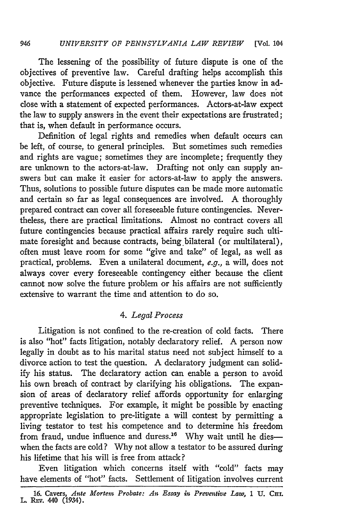#### **946** *UNIVERSITY OF PENNSYLVANIA LAW REVIEW* **[Vol. 104**

The lessening of the possibility of future dispute is one of the objectives of preventive law. Careful drafting helps accomplish this objective. Future dispute is lessened whenever the parties know in advance the performances expected of them. However, law does not close with a statement of expected performances. Actors-at-law expect the law to supply answers in the event their expectations are frustrated; that is, when default in performance occurs.

Definition of legal rights and remedies when default occurs can be left, of course, to general principles. But sometimes such remedies and rights are vague; sometimes they are incomplete; frequently they are unknown to the actors-at-law. Drafting not only can supply answers but can make it easier for actors-at-law to apply the answers. Thus, solutions to possible future disputes can be made more automatic and certain so far as legal consequences are involved. A thoroughly prepared contract can cover all foreseeable future contingencies. Nevertheless, there are practical limitations. Almost no contract covers all future contingencies because practical affairs rarely require such ultimate foresight and because contracts, being bilateral (or multilateral), often must leave room for some "give and take" of legal, as well as practical, problems. Even a unilateral document, *e.g.,* a will, does not always cover every foreseeable contingency either because the client cannot now solve the future problem or his affairs are not sufficiently extensive to warrant the time and attention to do so.

## *4. Legal Process*

Litigation is not confined to the re-creation of cold facts. There is also "hot" facts litigation, notably declaratory relief. A person now legally in doubt as to his marital status need not subject himself to a divorce action to test the question. A declaratory judgment can solid**ify** his status. The declaratory action can enable a person to avoid his own breach of contract by clarifying his obligations. The expansion of areas of declaratory relief affords opportunity for enlarging preventive techniques. For example, it might be possible by enacting appropriate legislation to pre-litigate a will contest by permitting a living testator to test his competence and to determine his freedom from fraud, undue influence and duress.<sup>16</sup> Why wait until he dieswhen the facts are cold? Why not allow a testator to be assured during his lifetime that his will is free from attack?

Even litigation which concerns itself with "cold" facts may have elements of "hot" facts. Settlement of litigation involves current

**<sup>16.</sup>** Cavers, *Ante Mortem Probate: An Essay in Preventive Law,* **1 U. CHi.** L. REv. **440** (1934).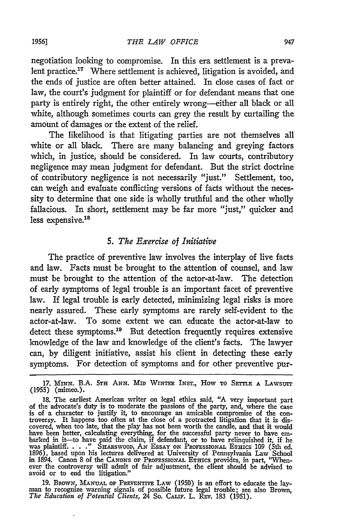negotiation looking to compromise. In this era settlement is a prevalent practice. $17$  Where settlement is achieved, litigation is avoided, and the ends of justice are often better attained. In close cases of fact or law, the court's judgment for plaintiff or for defendant means that one party is entirely right, the other entirely wrong-either all black or all white, although sometimes courts can grey the result by curtailing the amount of damages or the extent of the relief.

The likelihood is that litigating parties are not themselves all white or all black. There are many balancing and greying factors which, in justice, should be considered. In law courts, contributory negligence may mean judgment for defendant. But the strict doctrine of contributory negligence is not necessarily "just." Settlement, too, can weigh and evaluate conflicting versions of facts without the necessity to determine that one side is wholly truthful and the other wholly fallacious. In short, settlement may be far more "just," quicker and less expensive.<sup>18</sup>

#### *5.* The *Exercise of Initiative*

The practice of preventive law involves the interplay of live facts and law. Facts must be brought to the attention of counsel, and law must be brought to the attention of the actor-at-law. The detection of early symptoms of legal trouble is an important facet of preventive law. If legal trouble is early detected, minimizing legal risks is more nearly assured. These early symptoms are rarely self-evident to the actor-at-law. To some extent we can educate the actor-at-law to detect these symptoms.<sup>19</sup> But detection frequently requires extensive knowledge of the law and knowledge of the client's facts. The lawyer can, by diligent initiative, assist his client in detecting these early symptoms. For detection of symptoms and for other preventive pur-

19. BRoWN, **MANUAL OF PREVENTIVE** LAW (1950) is an effort to educate the lay- man to recognize warning signals of possible future legal trouble; see also Brown, *The Education of Potential Clients, 24* So. CALIF. L. REV. 183 (1951).

**<sup>17.</sup> MINN.** B.A. **5TH ANN. MID WINTER** INST., How TO **SETTLE A** LAWSUIT (1955) (mimeo.).

<sup>18.</sup> The earliest American writer on legal ethics said, "A very important part of the advocate's duty is to moderate the passions of the party, and, where the case is of a character to justify it, to encourage an amicable c covered, when too late, that the play has not been worth the candle, and that it would have been better, calculating everything, for the successful party never to have embarked in it—to have paid the claim, if defendant, or to have relinquished it, if he was plaintiff...." SHARSWOOD, AN ESSAY ON PROFESSIONAL 1896), based upon his lectures delivered at University of Pennsylvania Law School in 1894. Canon 8 of the **CANONS** OF **PROFESSIONA. ETHICS** provides, in part, "When- ever the controversy will admit of fair adjustment, the client should be advised to avoid or to end the litigation."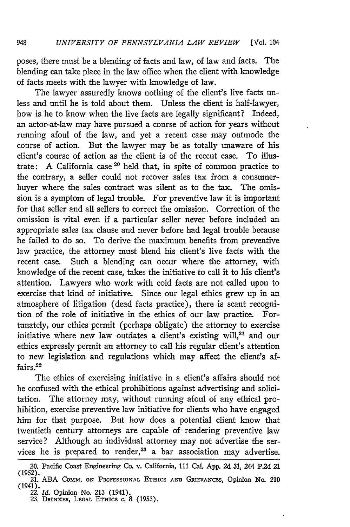poses, there must be a blending of facts and law, of law and facts. The blending can take place in the law office when the client with knowledge of facts meets with the lawyer with knowledge of law.

The lawyer assuredly knows nothing of the client's live facts unless and until he is told about them. Unless the client is half-lawyer, how is he to know when the live facts are legally significant? Indeed, an actor-at-law may have pursued a course of action for years without running afoul of the law, and yet a recent case may outmode the course of action. But the lawyer may be as totally unaware of his client's course of action as the client is of the recent case. To illustrate: A California case **20** held that, in spite of common practice to the contrary, a seller could not recover sales tax from a consumerbuyer where the sales contract was silent as to the tax. The omission is a symptom of legal trouble. For preventive law it is important for that seller and all sellers to correct the omission. Correction of the omission is vital even if a particular seller never before included an appropriate sales tax clause and never before had legal trouble because he failed to do so. To derive the maximum benefits from preventive law practice, the attorney must blend his client's live facts with the recent case. Such a blending can occur where the attorney, with knowledge of the recent case, takes the initiative to call it to his client's attention. Lawyers who work with cold facts are not called upon to exercise that kind of initiative. Since our legal ethics grew up in an atmosphere of litigation (dead facts practice), there is scant recognition of the role of initiative in the ethics of our law practice. Fortunately, our ethics permit (perhaps obligate) the attorney to exercise initiative where new law outdates a client's existing will,<sup>21</sup> and our ethics expressly permit an attorney to call his regular client's attention to new legislation and regulations which may affect the client's affairs.<sup>22</sup>

The ethics of exercising initiative in a client's affairs should not be confused with the ethical prohibitions against advertising and solicitation. The attorney may, without running afoul of any ethical prohibition, exercise preventive law initiative for clients who have engaged him for that purpose. But how does a potential client know that twentieth century attorneys are capable of rendering preventive law service? Although an individual attorney may not advertise the services he is prepared to render, $23$  a bar association may advertise.

<sup>20.</sup> Pacific Coast Engineering Co. v. California, 111 Cal. **App. 2d** 31, 244 **P.2d** 21 (1952). 21. ABA CoM. **ON PROFESSIONAL ETHICS AND** GRIEVANCES, Opinion No. 210

<sup>(1941).</sup> 22. *Id.* Opinion No. 213 (1941). 23. DRINxER, **LEGAL** ETHICS c. 8 (1953).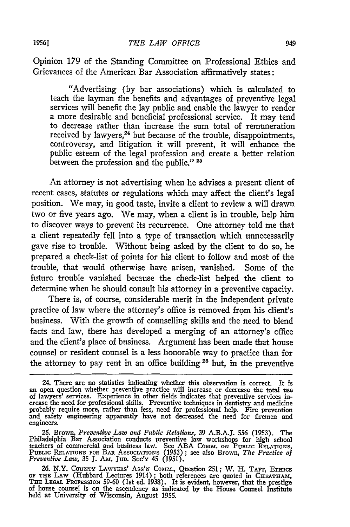Opinion 179 of the Standing Committee on Professional Ethics and Grievances of the American Bar Association affirmatively states:

"Advertising (by bar associations) which is calculated to teach the layman the benefits and advantages of preventive legal services will benefit the lay public and enable the lawyer to render a more desirable and beneficial professional service. It may tend to decrease rather than increase the sum total of remuneration received by lawyers,<sup>24</sup> but because of the trouble, disappointments, controversy, and litigation it will prevent, it will enhance the public esteem of the legal profession and create a better relation between the profession and the public."<sup>25</sup>

An attorney is not advertising when he advises a present client of recent cases, statutes or regulations which may affect the client's legal position. We may, in good taste, invite a client to review a will drawn two or five years ago. We may, when a client is in trouble, help him to discover ways to prevent its recurrence. One attorney told me that a client repeatedly fell into a type of transaction which unnecessarily gave rise to trouble. Without being asked by the client to do so, he prepared a check-list of points for his client to follow and most of the trouble, that would otherwise have arisen, vanished. Some of the future trouble vanished because the check-list helped the client to determine when he should consult his attorney in a preventive capacity.

There is, of course, considerable merit in the independent private practice of law where the attorney's office is removed from his client's business. With the growth of counselling skills and the need to blend facts and law, there has developed a merging of an attorney's office and the client's place of business. Argument has been made that house counsel or resident counsel is a less honorable way to practice than for the attorney to pay rent in an office building<sup>26</sup> but, in the preventive

<sup>24.</sup> There are no statistics indicating whether this observation is correct. It is<br>an open question whether preventive practice will increase or decrease the total use<br>of lawyers' services. Experience in other fields indica probably require more, rather than less, need for professional help. Fire prevention and safety engineering apparently have not decreased the need for firemen and engineers.

**<sup>25.</sup>** Brown, *Preventive Law and Public Relations,* **39** A.B.A.J. 556 (1953). The Philadelphia Bar Association conducts preventive law workshops for high school teachers of commercial and business law. See ABA COMM. ON PUBLIC RELATIONS,<br>PUBLIC RELATIONS FOR BAR ASSOCIATIONS (1953); see also Brown, The Practice of<br>Preventive Law, 35 J. AM. JUD. Soc'y 45 (1951).

<sup>26.</sup> N.Y. COUNTY LAWYERS' Ass'N COMM., Question 251; W. H. TAFT, ETHICS OF THE LAW (Hubbard Lectures 1914); both references are quoted in CHEATHAM,<br>THE LEGAL PROFESSION 59-60 (1st ed. 1938). It is evident, however, that the prestige<br>of house counsel is on the ascendency as indicated by the Hou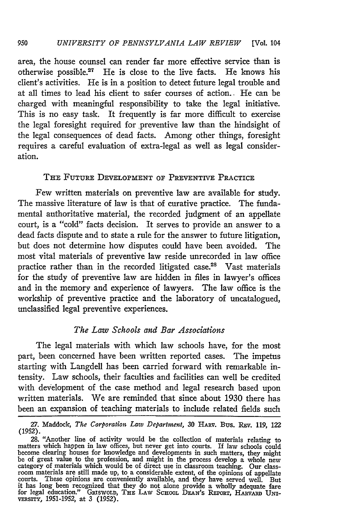area, the house counsel can render far more effective service than is otherwise possible.17 He is close to the live facts. He knows his client's activities. He is in a position to detect future legal trouble and at all times to lead his client to safer courses of action.. He can be charged with meaningful responsibility to take the legal initiative. This is no easy task. It frequently is far more difficult to exercise the legal foresight required for preventive law than the hindsight of the legal consequences of dead facts. Among other things, foresight requires a careful evaluation of extra-legal as well as legal consideration.

#### THE FUTURE DEVELOPMENT OF PREVENTIVE PRACTICE

Few written materials on preventive law are available for study. The massive literature of law is that of curative practice. The fundamental authoritative material, the recorded judgment of an appellate court, is a "cold" facts decision. It serves to provide an answer to a dead facts dispute and to state a rule for the answer to future litigation, but does not determine how disputes could have been avoided. The most vital materials of preventive law reside unrecorded in law office practice rather than in the recorded litigated case.<sup>28</sup> Vast materials for the study of preventive law are hidden in files in lawyer's offices and in the memory and experience of lawyers. The law office is the workship of preventive practice and the laboratory of uncatalogued, unclassified legal preventive experiences.

## *The Law Schools and Bar Associations*

The legal materials with which law schools have, for the most part, been concerned have been written reported cases. The impetus starting with Langdell has been carried forward with remarkable intensity. Law schools, their faculties and facilities can well be credited with development of the case method and legal research based upon written materials. We are reminded that since about 1930 there has been an expansion of teaching materials to include related fields such

<sup>27.</sup> Maddock, The Corporation Law Department, 30 HARV. Bus. REV. 119, 122 (1952).

<sup>28. &</sup>quot;Another line of activity would be the collection of materials relating to matters which happen in law offices, but never get into courts. If law schools could become clearing houses for knowledge and developments in such matters, they might<br>be of great value to the profession, and might in the process develop a whole new<br>category of materials which would be of direct use in clas room materials are still made up, to a considerable extent, of the opinions of appellate courts. These opinions are conveniently available, and they have served well. But<br>it has long been recognized that they do not alone provide a wholly adequate fare<br>for legal education." GRISWOLD, THE LAW SCHOOL DEAN'S REPO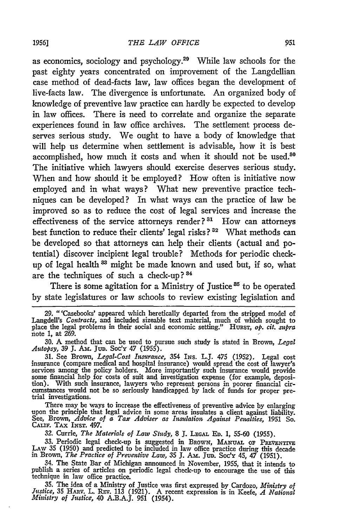as economics, sociology and psychology.29 While law schools for the past eighty years concentrated on improvement of the Langdellian case method of dead-facts law, law offices began the development of live-facts law. The divergence is unfortunate. An organized body of knowledge of preventive law practice can hardly be expected to develop in law offices. There is need to correlate and organize the separate experiences found in law office archives. The settlement process deserves serious study. We ought to have a body of knowledge that will help us determine when settlement is advisable, how it is best accomplished, how much it costs and when it should not be used.<sup>80</sup> The initiative which lawyers should exercise deserves serious study. When and how should it be employed? How often is initiative now employed and in what ways? What new preventive practice techniques can be developed? In what ways can the practice of law be improved so as to reduce the cost of legal services and increase the effectiveness of the service attorneys render?<sup>31</sup> How can attorneys best function to reduce their clients' legal risks?<sup>32</sup> What methods can be developed so that attorneys can help their clients (actual and potential) discover incipient legal trouble? Methods for periodic checkup of legal health <sup>33</sup> might be made known and used but, if so, what are the techniques of such a check-up? **84**

There is some agitation for a Ministry of Justice<sup>35</sup> to be operated **by** state legislatures or law schools to review existing legislation and

31. See Brown, *Legal-Cost Insurance,* 354 INs. L.J. 475 (1952). Legal cost insurance (compare medical and hospital insurance) would spread the cost of lawyer's services among the policy holders. More importantly such insurance would provide some financial help for costs of suit and investigation expense (for example, deposition). With such insurance, lawyers who represent persons in poorer financial cir-cumstances would not be so seriously handicapped by lack of funds for proper pretrial investigations.

There may be ways to increase the effectiveness of preventive advice by enlarging upon the principle that legal advice in some areas insulates a client against liability. See, Brown, *Advice of a Tax Adviser as Insulation* 

**32.** Currie, *The Materials of Law Study,* 8 **J. LEGAL ED. 1,** 55-60 (1955).

33. Periodic legal check-up is suggested in BROWN, MANUAL OF PREVENTIVE LAW 35 (1950) and predicted to be included in law office practice during this decade in Brown, *The Practice of Preventive Law*, 35 I. Am. Jup. Soc'x

34. The State Bar of Michigan announced in November, 1955, that it intends to publish a series of articles on periodic legal check-up to encourage the use of this technique in law office practice.

35. The idea of a Ministry of Justice was first expressed by Cardozo, *Ministry of Justice,* 35 HARv. L. REv. 113 (1921). A recent expression is in Keefe, *A National Ministry of Justice,* 40 A.B.A.J. 951 (1954).

**<sup>29.</sup>** "'Casebooks' appeared which heretically departed from the stripped model of Langdell's *Contracts,* and included sizeable text material, much of which sought to place the legal problems in their social and economic setting." **HURsT,** *op. cit. supra* note 1, at 269.

**<sup>30.</sup>** A method that can be used to pursue such study is stated in Brown, *Legal Autopsy,* 39 **J. Am.** Ju. Soc'y 47 (1955).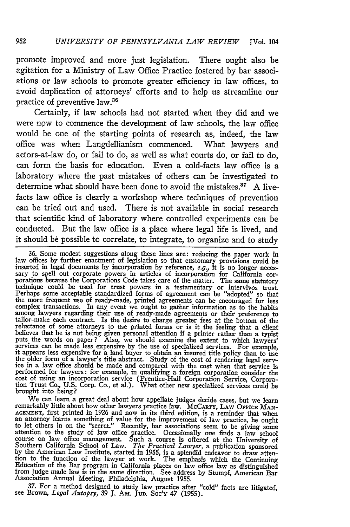promote improved and more just legislation. There ought also be agitation for a Ministry of Law Office Practice fostered **by** bar associations or law schools to promote greater efficiency in law offices, to avoid duplication of attorneys' efforts and to help us streamline our practice of preventive law.38

Certainly, if law schools had not started when they did and we were now to commence the development of law schools, the law office would be one of the starting points of research as, indeed, the law office was when Langdellianism commenced. What lawyers and actors-at-law do, or fail to do, as well as what courts do, or fail to do, can form the basis for education. Even a cold-facts law office is a laboratory where the past mistakes of others can be investigated to determine what should have been done to avoid the mistakes." **A** livefacts law office is clearly a workshop where techniques of prevention can be tried out and used. There is not available in social research that scientific kind of laboratory where controlled experiments can be conducted. But the law office is a place where legal life is lived, and it should be possible to correlate, to integrate, to organize and to study

**36.** Some modest suggestions along these lines are: reducing the paper work in law offices **by** further enactment of legislation so that customary provisions could be inserted in legal documents by incorporation by reference,  $e.g.,$  it is no longer necessary to spell out corporate powers in articles of incorporation for California corporations because the Corporations Code takes care of Perhaps some acceptable standardized forms of agreement can be "adopted" so that the more frequent use of ready-made, printed agreements can be encouraged for less complex transactions. In any event we ought to gather information as to the habits<br>among lawyers regarding their use of ready-made agreements or their preference to<br>tailor-make each contract. Is the desire to charge greate reluctance of some attorneys to use printed forms or is it the feeling that a client believes that he is not being given personal attention if a printer rather than a typist<br>puts the words on paper? Also, we should examine the extent to which lawyers'<br>gervices can be made less expensive by the use of speci performed for lawyers: for example, in qualifying a foreign corporation consider the cost of using an incorporation service (Prentice-Hall Corporation Service, Corpora- tion Trust Co., **U.S.** Corp. Co., et al.). What other new specialized services could be brought into being?

We can learn a great deal about how appellate judges decide cases, but we learn remarkably little about how other lawyers practice law. McCarry, LAW OFFICE MAR-<br>AGEMENT, first printed in 1926 and now in its third edition, is a reminder that where<br>an attorney learns something of value for the improveme Southern California School of Law. *The Practical Lawyer,* a publication sponsored **by** the American Law Institute, started in **1955,** is a splendid endeavor to draw atten-Figure 1.1 The effection of the lawyer at work. The emphasis which the Continuing<br>Education of the Bar program in California places on law office law as distinguished<br>from judge made law is in the same direction. See addre Association Annual Meeting, Philadelphia, August **1955.**

**37.** For a method designed to study law practice after "cold" facts are litigated, see Brown, *Legal Autopsy, 39* **3.** Am. Jun. **Soc'y** 47 **(1955).**